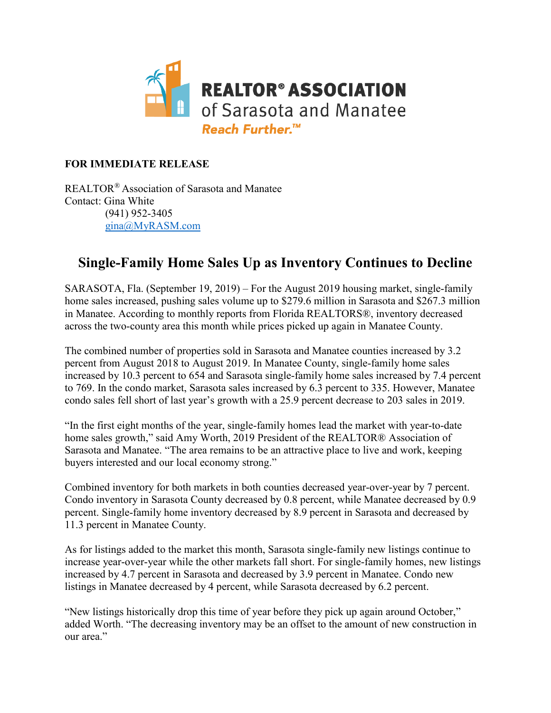

#### **FOR IMMEDIATE RELEASE**

REALTOR® Association of Sarasota and Manatee Contact: Gina White (941) 952-3405 [gina@MyRASM.com](mailto:gina@MyRASM.com)

#### **Single-Family Home Sales Up as Inventory Continues to Decline**

SARASOTA, Fla. (September 19, 2019) – For the August 2019 housing market, single-family home sales increased, pushing sales volume up to \$279.6 million in Sarasota and \$267.3 million in Manatee. According to monthly reports from Florida REALTORS®, inventory decreased across the two-county area this month while prices picked up again in Manatee County.

The combined number of properties sold in Sarasota and Manatee counties increased by 3.2 percent from August 2018 to August 2019. In Manatee County, single-family home sales increased by 10.3 percent to 654 and Sarasota single-family home sales increased by 7.4 percent to 769. In the condo market, Sarasota sales increased by 6.3 percent to 335. However, Manatee condo sales fell short of last year's growth with a 25.9 percent decrease to 203 sales in 2019.

"In the first eight months of the year, single-family homes lead the market with year-to-date home sales growth," said Amy Worth, 2019 President of the REALTOR® Association of Sarasota and Manatee. "The area remains to be an attractive place to live and work, keeping buyers interested and our local economy strong."

Combined inventory for both markets in both counties decreased year-over-year by 7 percent. Condo inventory in Sarasota County decreased by 0.8 percent, while Manatee decreased by 0.9 percent. Single-family home inventory decreased by 8.9 percent in Sarasota and decreased by 11.3 percent in Manatee County.

As for listings added to the market this month, Sarasota single-family new listings continue to increase year-over-year while the other markets fall short. For single-family homes, new listings increased by 4.7 percent in Sarasota and decreased by 3.9 percent in Manatee. Condo new listings in Manatee decreased by 4 percent, while Sarasota decreased by 6.2 percent.

"New listings historically drop this time of year before they pick up again around October," added Worth. "The decreasing inventory may be an offset to the amount of new construction in our area."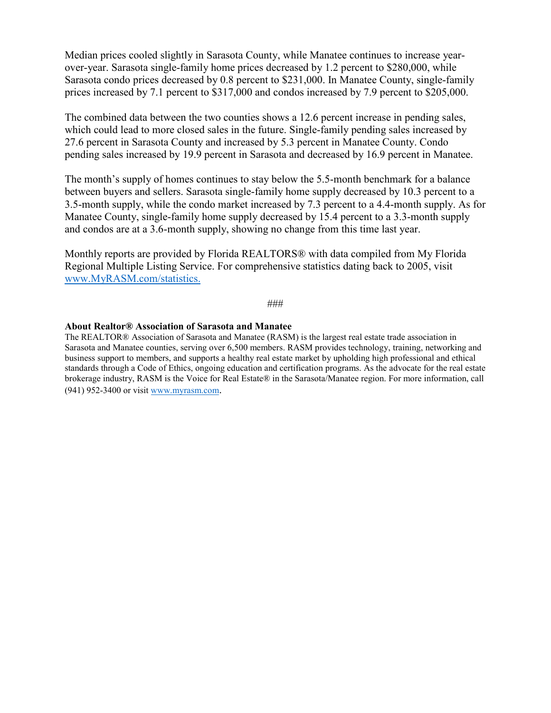Median prices cooled slightly in Sarasota County, while Manatee continues to increase yearover-year. Sarasota single-family home prices decreased by 1.2 percent to \$280,000, while Sarasota condo prices decreased by 0.8 percent to \$231,000. In Manatee County, single-family prices increased by 7.1 percent to \$317,000 and condos increased by 7.9 percent to \$205,000.

The combined data between the two counties shows a 12.6 percent increase in pending sales, which could lead to more closed sales in the future. Single-family pending sales increased by 27.6 percent in Sarasota County and increased by 5.3 percent in Manatee County. Condo pending sales increased by 19.9 percent in Sarasota and decreased by 16.9 percent in Manatee.

The month's supply of homes continues to stay below the 5.5-month benchmark for a balance between buyers and sellers. Sarasota single-family home supply decreased by 10.3 percent to a 3.5-month supply, while the condo market increased by 7.3 percent to a 4.4-month supply. As for Manatee County, single-family home supply decreased by 15.4 percent to a 3.3-month supply and condos are at a 3.6-month supply, showing no change from this time last year.

Monthly reports are provided by Florida REALTORS® with data compiled from My Florida Regional Multiple Listing Service. For comprehensive statistics dating back to 2005, visit [www.MyRASM.com/statistics.](http://www.myrasm.com/statistics)

#### ###

#### **About Realtor® Association of Sarasota and Manatee**

The REALTOR® Association of Sarasota and Manatee (RASM) is the largest real estate trade association in Sarasota and Manatee counties, serving over 6,500 members. RASM provides technology, training, networking and business support to members, and supports a healthy real estate market by upholding high professional and ethical standards through a Code of Ethics, ongoing education and certification programs. As the advocate for the real estate brokerage industry, RASM is the Voice for Real Estate® in the Sarasota/Manatee region. For more information, call (941) 952-3400 or visi[t www.myrasm.com.](http://www.myrasm.com/)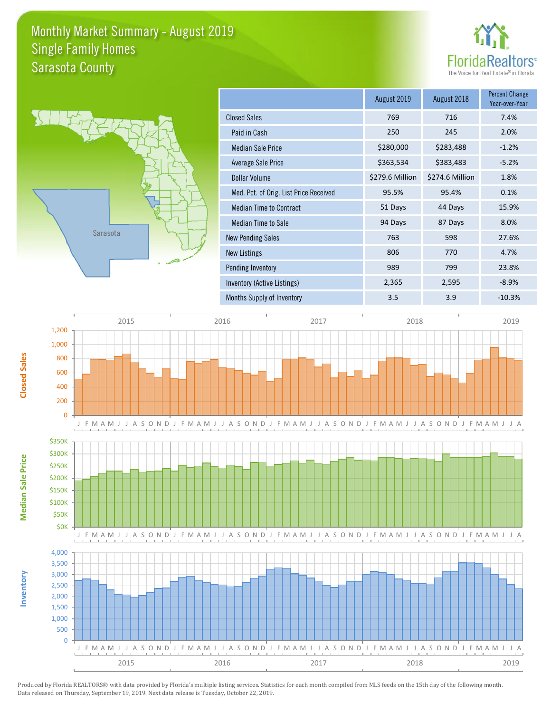### Monthly Market Summary - August 2019 Sarasota County Single Family Homes





|                                        | August 2019     | August 2018     | <b>Percent Change</b><br>Year-over-Year |
|----------------------------------------|-----------------|-----------------|-----------------------------------------|
| <b>Closed Sales</b>                    | 769             | 716             | 7.4%                                    |
| Paid in Cash                           | 250             | 245             | 2.0%                                    |
| <b>Median Sale Price</b>               | \$280,000       | \$283,488       | $-1.2%$                                 |
| Average Sale Price                     | \$363,534       | \$383,483       | $-5.2%$                                 |
| Dollar Volume                          | \$279.6 Million | \$274.6 Million | 1.8%                                    |
| Med. Pct. of Orig. List Price Received | 95.5%           | 95.4%           | 0.1%                                    |
| <b>Median Time to Contract</b>         | 51 Days         | 44 Days         | 15.9%                                   |
| Median Time to Sale                    | 94 Days         | 87 Days         | 8.0%                                    |
| <b>New Pending Sales</b>               | 763             | 598             | 27.6%                                   |
| <b>New Listings</b>                    | 806             | 770             | 4.7%                                    |
| Pending Inventory                      | 989             | 799             | 23.8%                                   |
| Inventory (Active Listings)            | 2,365           | 2,595           | $-8.9%$                                 |
| <b>Months Supply of Inventory</b>      | 3.5             | 3.9             | $-10.3%$                                |



Produced by Florida REALTORS® with data provided by Florida's multiple listing services. Statistics for each month compiled from MLS feeds on the 15th day of the following month. Data released on Thursday, September 19, 2019. Next data release is Tuesday, October 22, 2019.

**Inventory**

**Median Sale Price**

**Median Sale Price**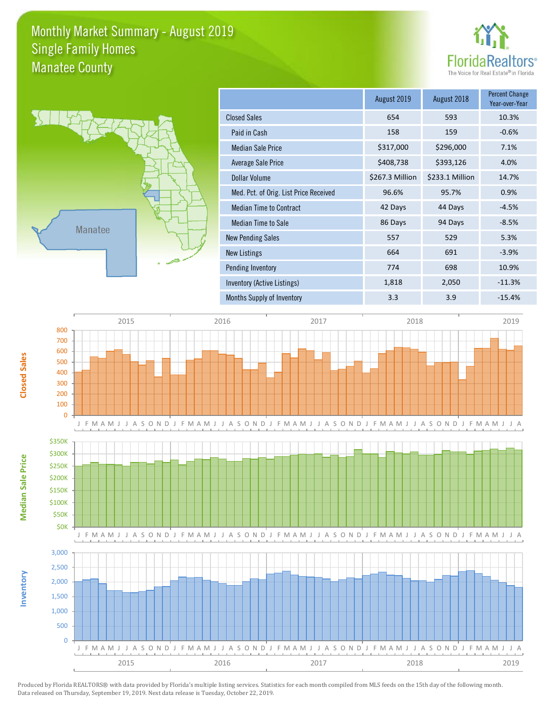### Monthly Market Summary - August 2019 Manatee County Single Family Homes





|                                        | August 2019     | August 2018     | <b>Percent Change</b><br>Year-over-Year |
|----------------------------------------|-----------------|-----------------|-----------------------------------------|
| <b>Closed Sales</b>                    | 654             | 593             | 10.3%                                   |
| Paid in Cash                           | 158             | 159             | $-0.6%$                                 |
| <b>Median Sale Price</b>               | \$317,000       | \$296,000       | 7.1%                                    |
| Average Sale Price                     | \$408,738       | \$393,126       | 4.0%                                    |
| Dollar Volume                          | \$267.3 Million | \$233.1 Million | 14.7%                                   |
| Med. Pct. of Orig. List Price Received | 96.6%           | 95.7%           | 0.9%                                    |
| <b>Median Time to Contract</b>         | 42 Days         | 44 Days         | $-4.5%$                                 |
| Median Time to Sale                    | 86 Days         | 94 Days         | $-8.5%$                                 |
| <b>New Pending Sales</b>               | 557             | 529             | 5.3%                                    |
| <b>New Listings</b>                    | 664             | 691             | $-3.9%$                                 |
| Pending Inventory                      | 774             | 698             | 10.9%                                   |
| Inventory (Active Listings)            | 1,818           | 2,050           | $-11.3%$                                |
| Months Supply of Inventory             | 3.3             | 3.9             | $-15.4%$                                |

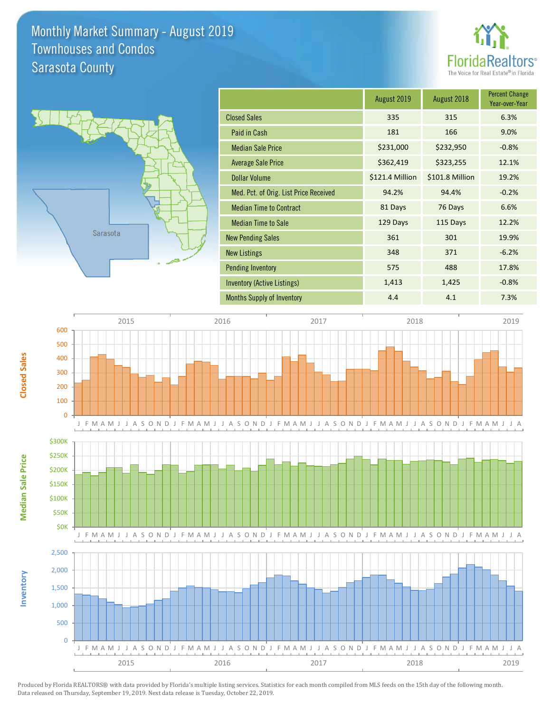## Monthly Market Summary - August 2019 Sarasota County Townhouses and Condos





**Inventory**

**Median Sale Price**

**Median Sale Price** 

**Closed Sales**

|                                        | August 2019     | August 2018     | <b>Percent Change</b><br>Year-over-Year |
|----------------------------------------|-----------------|-----------------|-----------------------------------------|
| <b>Closed Sales</b>                    | 335             | 315             | 6.3%                                    |
| Paid in Cash                           | 181             | 166             | 9.0%                                    |
| <b>Median Sale Price</b>               | \$231,000       | \$232,950       | $-0.8%$                                 |
| <b>Average Sale Price</b>              | \$362,419       | \$323,255       | 12.1%                                   |
| <b>Dollar Volume</b>                   | \$121.4 Million | \$101.8 Million | 19.2%                                   |
| Med. Pct. of Orig. List Price Received | 94.2%           | 94.4%           | $-0.2%$                                 |
| <b>Median Time to Contract</b>         | 81 Days         | 76 Days         | 6.6%                                    |
| <b>Median Time to Sale</b>             | 129 Days        | 115 Days        | 12.2%                                   |
| <b>New Pending Sales</b>               | 361             | 301             | 19.9%                                   |
| <b>New Listings</b>                    | 348             | 371             | $-6.2%$                                 |
| <b>Pending Inventory</b>               | 575             | 488             | 17.8%                                   |
| Inventory (Active Listings)            | 1,413           | 1,425           | $-0.8%$                                 |
| <b>Months Supply of Inventory</b>      | 4.4             | 4.1             | 7.3%                                    |

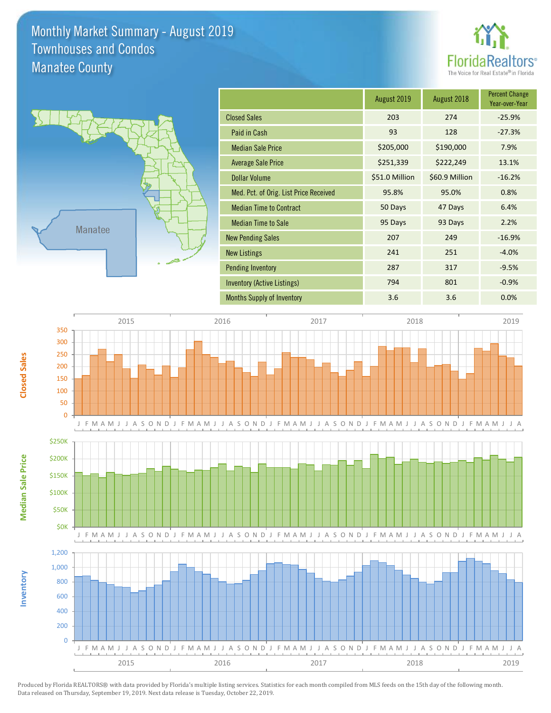## Monthly Market Summary - August 2019 Manatee County Townhouses and Condos





**Inventory**

**Median Sale Price**

**Median Sale Price** 

**Closed Sales**

|                                        | August 2019    | August 2018    | <b>Percent Change</b><br>Year-over-Year |
|----------------------------------------|----------------|----------------|-----------------------------------------|
| <b>Closed Sales</b>                    | 203            | 274            | $-25.9%$                                |
| Paid in Cash                           | 93             | 128            | $-27.3%$                                |
| <b>Median Sale Price</b>               | \$205,000      | \$190,000      | 7.9%                                    |
| <b>Average Sale Price</b>              | \$251,339      | \$222,249      | 13.1%                                   |
| Dollar Volume                          | \$51.0 Million | \$60.9 Million | $-16.2%$                                |
| Med. Pct. of Orig. List Price Received | 95.8%          | 95.0%          | 0.8%                                    |
| <b>Median Time to Contract</b>         | 50 Days        | 47 Days        | 6.4%                                    |
| <b>Median Time to Sale</b>             | 95 Days        | 93 Days        | 2.2%                                    |
| <b>New Pending Sales</b>               | 207            | 249            | $-16.9%$                                |
| <b>New Listings</b>                    | 241            | 251            | $-4.0%$                                 |
| <b>Pending Inventory</b>               | 287            | 317            | $-9.5%$                                 |
| Inventory (Active Listings)            | 794            | 801            | $-0.9%$                                 |
| <b>Months Supply of Inventory</b>      | 3.6            | 3.6            | 0.0%                                    |

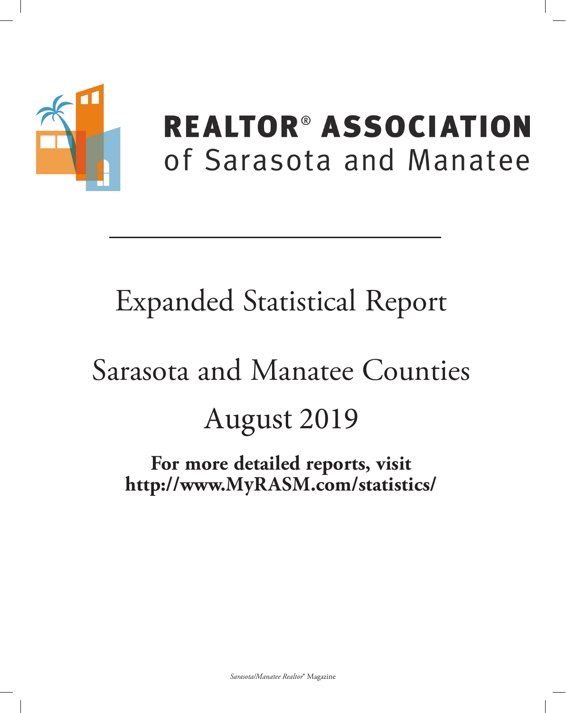

# **REALTOR® ASSOCIATION** of Sarasota and Manatee

# **Expanded Statistical Report**

# Sarasota and Manatee Counties August 2019

For more detailed reports, visit http://www.MyRASM.com/statistics/

Sarasota/Manatee Realtor® Magazine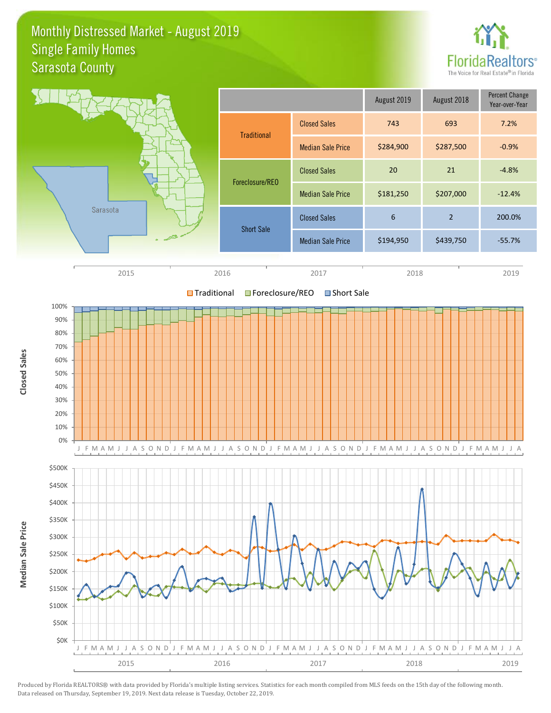#### Monthly Distressed Market - August 2019 Sarasota County Single Family Homes





Produced by Florida REALTORS® with data provided by Florida's multiple listing services. Statistics for each month compiled from MLS feeds on the 15th day of the following month. Data released on Thursday, September 19, 2019. Next data release is Tuesday, October 22, 2019.

**Closed Sales**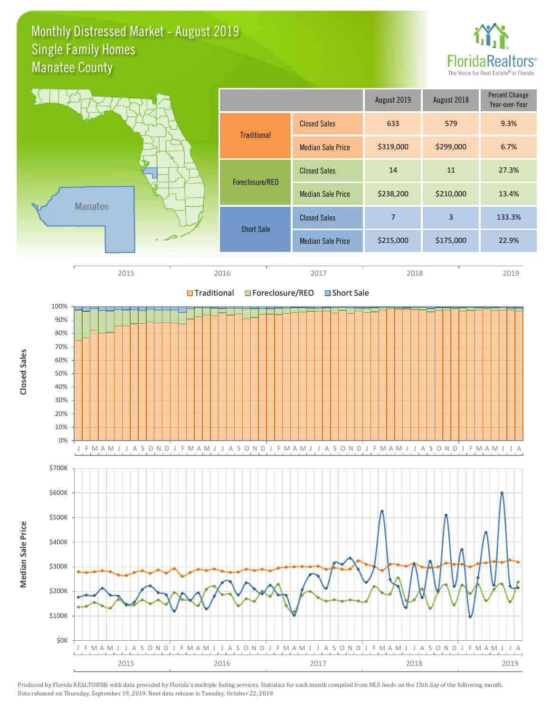#### Monthly Distressed Market - August 2019 Manatee County Single Family Homes





Produced by Florida REALTORS® with data provided by Florida's multiple listing services. Statistics for each month compiled from MLS feeds on the 15th day of the following month. Data released on Thursday, September 19, 2019. Next data release is Tuesday, October 22, 2019.

**Closed Sales**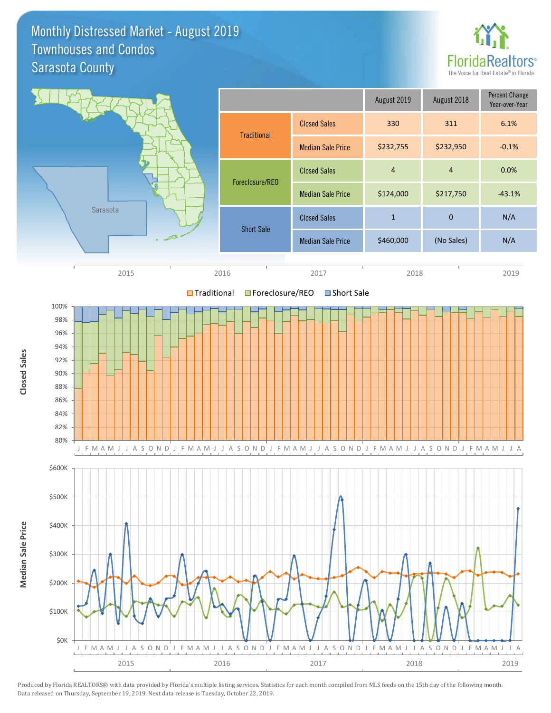#### Monthly Distressed Market - August 2019 Sarasota County Townhouses and Condos





Produced by Florida REALTORS® with data provided by Florida's multiple listing services. Statistics for each month compiled from MLS feeds on the 15th day of the following month. Data released on Thursday, September 19, 2019. Next data release is Tuesday, October 22, 2019.

**Closed Sales**